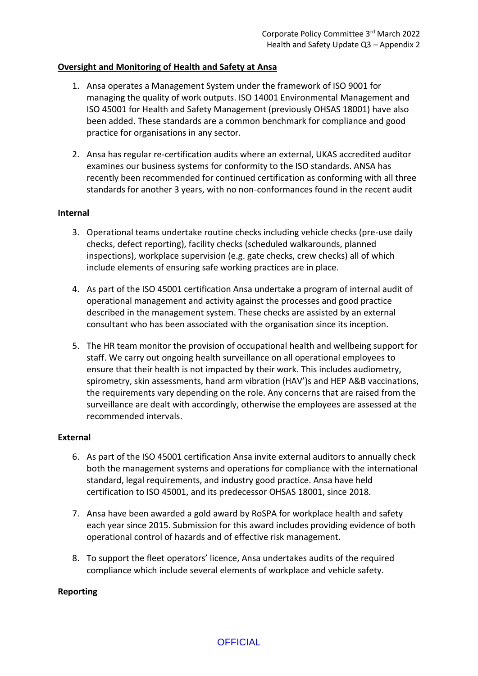## **Oversight and Monitoring of Health and Safety at Ansa**

- 1. Ansa operates a Management System under the framework of ISO 9001 for managing the quality of work outputs. ISO 14001 Environmental Management and ISO 45001 for Health and Safety Management (previously OHSAS 18001) have also been added. These standards are a common benchmark for compliance and good practice for organisations in any sector.
- 2. Ansa has regular re-certification audits where an external, UKAS accredited auditor examines our business systems for conformity to the ISO standards. ANSA has recently been recommended for continued certification as conforming with all three standards for another 3 years, with no non-conformances found in the recent audit

## **Internal**

- 3. Operational teams undertake routine checks including vehicle checks (pre-use daily checks, defect reporting), facility checks (scheduled walkarounds, planned inspections), workplace supervision (e.g. gate checks, crew checks) all of which include elements of ensuring safe working practices are in place.
- 4. As part of the ISO 45001 certification Ansa undertake a program of internal audit of operational management and activity against the processes and good practice described in the management system. These checks are assisted by an external consultant who has been associated with the organisation since its inception.
- 5. The HR team monitor the provision of occupational health and wellbeing support for staff. We carry out ongoing health surveillance on all operational employees to ensure that their health is not impacted by their work. This includes audiometry, spirometry, skin assessments, hand arm vibration (HAV')s and HEP A&B vaccinations, the requirements vary depending on the role. Any concerns that are raised from the surveillance are dealt with accordingly, otherwise the employees are assessed at the recommended intervals.

## **External**

- 6. As part of the ISO 45001 certification Ansa invite external auditors to annually check both the management systems and operations for compliance with the international standard, legal requirements, and industry good practice. Ansa have held certification to ISO 45001, and its predecessor OHSAS 18001, since 2018.
- 7. Ansa have been awarded a gold award by RoSPA for workplace health and safety each year since 2015. Submission for this award includes providing evidence of both operational control of hazards and of effective risk management.
- 8. To support the fleet operators' licence, Ansa undertakes audits of the required compliance which include several elements of workplace and vehicle safety.

## **Reporting**